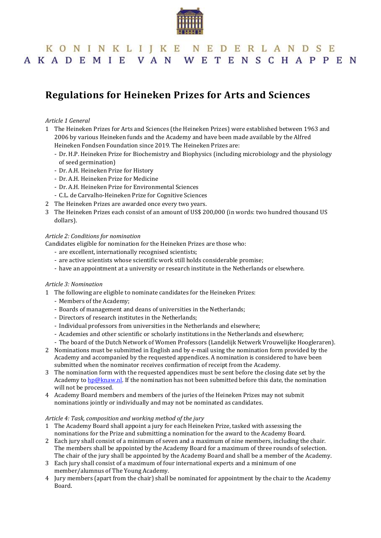

## KONINKLIJKE NEDERLANDSE AKADEMIE VAN WETENSCHAPPEN

# **Regulations for Heineken Prizes for Arts and Sciences**

#### *Article 1 General*

- 1 The Heineken Prizes for Arts and Sciences (the Heineken Prizes) were established between 1963 and 2006 by various Heineken funds and the Academy and have been made available by the Alfred Heineken Fondsen Foundation since 2019. The Heineken Prizes are:
	- Dr. H.P. Heineken Prize for Biochemistry and Biophysics (including microbiology and the physiology of seed germination)
	- Dr. A.H. Heineken Prize for History
	- Dr. A.H. Heineken Prize for Medicine
	- Dr. A.H. Heineken Prize for Environmental Sciences
	- C.L. de Carvalho-Heineken Prize for Cognitive Sciences
- 2 The Heineken Prizes are awarded once every two years.
- 3 The Heineken Prizes each consist of an amount of US\$ 200,000 (in words: two hundred thousand US dollars).

#### *Article 2: Conditions for nomination*

Candidates eligible for nomination for the Heineken Prizes are those who:

- are excellent, internationally recognised scientists;
- are active scientists whose scientific work still holds considerable promise;
- have an appointment at a university or research institute in the Netherlands or elsewhere.

#### *Article 3: Nomination*

- 1 The following are eligible to nominate candidates for the Heineken Prizes:
	- Members of the Academy;
	- Boards of management and deans of universities in the Netherlands;
	- Directors of research institutes in the Netherlands;
	- Individual professors from universities in the Netherlands and elsewhere;
	- Academies and other scientific or scholarly institutions in the Netherlands and elsewhere;
	- The board of the Dutch Network of Women Professors (Landelijk Netwerk Vrouwelijke Hoogleraren).
- 2 Nominations must be submitted in English and by e-mail using the nomination form provided by the Academy and accompanied by the requested appendices. A nomination is considered to have been submitted when the nominator receives confirmation of receipt from the Academy.
- 3 The nomination form with the requested appendices must be sent before the closing date set by the Academy t[o hp@knaw.nl.](mailto:hp@knaw.nl) If the nomination has not been submitted before this date, the nomination will not be processed.
- 4 Academy Board members and members of the juries of the Heineken Prizes may not submit nominations jointly or individually and may not be nominated as candidates.

#### *Article 4: Task, composition and working method of the jury*

- 1 The Academy Board shall appoint a jury for each Heineken Prize, tasked with assessing the nominations for the Prize and submitting a nomination for the award to the Academy Board.
- 2 Each jury shall consist of a minimum of seven and a maximum of nine members, including the chair. The members shall be appointed by the Academy Board for a maximum of three rounds of selection. The chair of the jury shall be appointed by the Academy Board and shall be a member of the Academy.
- 3 Each jury shall consist of a maximum of four international experts and a minimum of one member/alumnus of The Young Academy.
- 4 Jury members (apart from the chair) shall be nominated for appointment by the chair to the Academy Board.